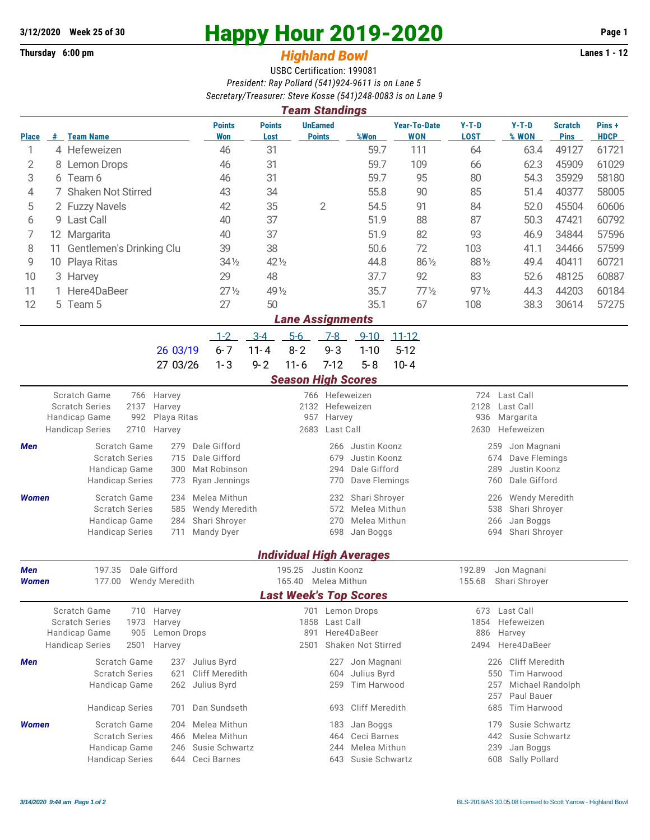## **Thursday 6:00 pm** *Highland Bowl* **Lanes 1 - 12**

## **3/12/2020 Week 25 of 30 Happy Hour 2019-2020 Page 1**

## USBC Certification: 199081 *President: Ray Pollard (541)924-9611 is on Lane 5 Secretary/Treasurer: Steve Kosse (541)248-0083 is on Lane 9*

| <b>Team Standings</b> |    |                                                                                 |                            |                       |                                    |                           |                                  |                                 |                                        |                                            |                              |                               |                      |  |  |  |
|-----------------------|----|---------------------------------------------------------------------------------|----------------------------|-----------------------|------------------------------------|---------------------------|----------------------------------|---------------------------------|----------------------------------------|--------------------------------------------|------------------------------|-------------------------------|----------------------|--|--|--|
| <b>Place</b>          |    | # Team Name                                                                     |                            | <b>Points</b><br>Won  | <b>Points</b><br>Lost              |                           | <b>UnEarned</b><br><b>Points</b> | %Won                            | <b>Year-To-Date</b><br><b>WON</b>      | $Y-T-D$<br><b>LOST</b>                     | $Y-T-D$<br>% WON             | <b>Scratch</b><br><b>Pins</b> | Pins+<br><b>HDCP</b> |  |  |  |
| 1                     |    | 4 Hefeweizen                                                                    |                            | 46                    | 31                                 |                           |                                  | 59.7                            | 111                                    | 64                                         | 63.4                         | 49127                         | 61721                |  |  |  |
| 2                     |    | 8 Lemon Drops                                                                   |                            | 46                    | 31                                 |                           |                                  | 59.7                            | 109                                    | 66                                         | 62.3                         | 45909                         | 61029                |  |  |  |
| 3                     |    | 6 Team 6                                                                        |                            | 46                    | 31                                 |                           |                                  | 59.7                            | 95                                     | 80                                         | 54.3                         | 35929                         | 58180                |  |  |  |
| 4                     |    | 7 Shaken Not Stirred                                                            |                            | 43                    | 34                                 |                           |                                  | 55.8                            | 90                                     | 85                                         | 51.4                         | 40377                         | 58005                |  |  |  |
| 5                     |    | 2 Fuzzy Navels                                                                  |                            | 42                    | 35                                 |                           | $\overline{2}$                   | 54.5                            | 91                                     | 84                                         | 52.0                         | 45504                         | 60606                |  |  |  |
| 6                     |    | 9 Last Call                                                                     |                            | 40                    | 37                                 |                           |                                  | 51.9                            | 88                                     | 87                                         | 50.3                         | 47421                         | 60792                |  |  |  |
| 7                     |    | 12 Margarita                                                                    |                            | 40                    | 37                                 |                           |                                  | 51.9                            | 82                                     | 93                                         | 46.9                         | 34844                         | 57596                |  |  |  |
| 8                     |    | 11 Gentlemen's Drinking Clu                                                     |                            | 39                    | 38                                 |                           |                                  | 50.6                            | 72                                     | 103                                        | 41.1                         | 34466                         | 57599                |  |  |  |
| 9                     | 10 | Playa Ritas                                                                     |                            | $34\frac{1}{2}$       | 42 1/2                             |                           |                                  | 44.8                            | 861/2                                  | 881/2                                      | 49.4                         | 40411                         | 60721                |  |  |  |
| 10                    |    | 3 Harvey                                                                        |                            | 29                    | 48                                 |                           |                                  | 37.7                            | 92                                     | 83                                         | 52.6                         | 48125                         | 60887                |  |  |  |
| 11                    |    | Here4DaBeer                                                                     |                            | $27\frac{1}{2}$       | 49 1/2                             |                           |                                  | 35.7                            | $77\frac{1}{2}$                        | $97\frac{1}{2}$                            | 44.3                         | 44203                         | 60184                |  |  |  |
| 12                    |    | 5 Team 5                                                                        |                            | 27                    | 50                                 |                           |                                  | 35.1                            | 67                                     | 108                                        | 38.3                         | 30614                         | 57275                |  |  |  |
|                       |    |                                                                                 |                            |                       |                                    | <b>Lane Assignments</b>   |                                  |                                 |                                        |                                            |                              |                               |                      |  |  |  |
|                       |    |                                                                                 |                            | $1 - 2$               | $3-4$                              | $5-6$                     | $7-8$                            | $9 - 10$                        | $11 - 12$                              |                                            |                              |                               |                      |  |  |  |
|                       |    |                                                                                 | 26 03/19                   | $6 - 7$               | $11 - 4$                           | $8 - 2$                   | $9 - 3$                          | $1 - 10$                        | $5 - 12$                               |                                            |                              |                               |                      |  |  |  |
|                       |    |                                                                                 | 27 03/26                   | $1 - 3$               | $9 - 2$                            | $11 - 6$                  | $7-12$                           | $5 - 8$                         | $10 - 4$                               |                                            |                              |                               |                      |  |  |  |
|                       |    |                                                                                 |                            |                       |                                    | <b>Season High Scores</b> |                                  |                                 |                                        |                                            |                              |                               |                      |  |  |  |
|                       |    | Scratch Game<br>766                                                             | Harvey                     |                       |                                    |                           | 766 Hefeweizen                   |                                 |                                        | 724                                        | Last Call                    |                               |                      |  |  |  |
|                       |    | <b>Scratch Series</b><br>2137                                                   | Harvey                     |                       |                                    | 2132                      | Hefeweizen                       |                                 |                                        | 2128<br>Last Call                          |                              |                               |                      |  |  |  |
|                       |    | 992<br>Handicap Game<br>Playa Ritas<br>2710<br><b>Handicap Series</b><br>Harvey |                            |                       | 957<br>Harvey<br>2683<br>Last Call |                           |                                  |                                 |                                        | 936<br>Margarita<br>2630<br>Hefeweizen     |                              |                               |                      |  |  |  |
|                       |    |                                                                                 | Dale Gifford               |                       |                                    |                           |                                  |                                 |                                        |                                            |                              |                               |                      |  |  |  |
| Men                   |    | Scratch Game<br><b>Scratch Series</b>                                           | 279<br>Dale Gifford<br>715 |                       |                                    |                           | 266<br>679                       | Justin Koonz<br>Justin Koonz    |                                        | 259<br>Jon Magnani<br>Dave Flemings<br>674 |                              |                               |                      |  |  |  |
|                       |    | Handicap Game                                                                   | 300                        | Mat Robinson          |                                    | 294                       |                                  |                                 | Dale Gifford                           | Justin Koonz<br>289                        |                              |                               |                      |  |  |  |
|                       |    | <b>Handicap Series</b>                                                          | 773                        | Ryan Jennings         |                                    |                           | 770                              | Dave Flemings                   |                                        |                                            | 760<br>Dale Gifford          |                               |                      |  |  |  |
| <b>Women</b>          |    | Scratch Game                                                                    | 234                        | Melea Mithun          |                                    |                           | 232                              | Shari Shroyer                   |                                        | 226<br><b>Wendy Meredith</b>               |                              |                               |                      |  |  |  |
|                       |    | <b>Scratch Series</b>                                                           | 585                        | <b>Wendy Meredith</b> |                                    |                           | 572                              | Melea Mithun                    |                                        | 538<br>Shari Shroyer                       |                              |                               |                      |  |  |  |
|                       |    | Handicap Game                                                                   | 284                        | Shari Shroyer         |                                    |                           | 270                              | Melea Mithun                    |                                        | 266<br>Jan Boggs                           |                              |                               |                      |  |  |  |
|                       |    | <b>Handicap Series</b>                                                          | Mandy Dyer<br>711          |                       |                                    |                           | 698                              | Jan Boggs                       |                                        | 694<br>Shari Shroyer                       |                              |                               |                      |  |  |  |
|                       |    |                                                                                 |                            |                       |                                    |                           |                                  | <b>Individual High Averages</b> |                                        |                                            |                              |                               |                      |  |  |  |
| Men                   |    | 197.35 Dale Gifford                                                             |                            |                       |                                    | 195.25 Justin Koonz       |                                  |                                 |                                        | 192.89                                     | Jon Magnani                  |                               |                      |  |  |  |
| <b>Women</b>          |    | 177.00 Wendy Meredith                                                           |                            |                       |                                    | 165.40 Melea Mithun       |                                  |                                 |                                        |                                            | 155.68 Shari Shroyer         |                               |                      |  |  |  |
|                       |    |                                                                                 |                            |                       |                                    |                           |                                  | <b>Last Week's Top Scores</b>   |                                        |                                            |                              |                               |                      |  |  |  |
|                       |    | <b>Scratch Game</b><br>710 Harvey                                               |                            |                       |                                    |                           |                                  | 701 Lemon Drops                 |                                        |                                            | 673 Last Call                |                               |                      |  |  |  |
|                       |    | <b>Scratch Series</b><br>1973<br>Harvey<br>Handicap Game<br>905                 |                            |                       | 891                                | 1858 Last Call            | Here4DaBeer                      |                                 | Hefeweizen<br>1854<br>886<br>Harvey    |                                            |                              |                               |                      |  |  |  |
|                       |    | Lemon Drops<br><b>Handicap Series</b><br>2501<br>Harvey                         |                            |                       | 2501                               |                           |                                  | Shaken Not Stirred              |                                        | 2494<br>Here4DaBeer                        |                              |                               |                      |  |  |  |
| Men                   |    | Scratch Game                                                                    | Julius Byrd<br>237         |                       |                                    |                           | 227                              | Jon Magnani                     |                                        |                                            | <b>Cliff Meredith</b><br>226 |                               |                      |  |  |  |
|                       |    | <b>Scratch Series</b>                                                           | Cliff Meredith             |                       |                                    | 604                       | Julius Byrd                      |                                 | Tim Harwood<br>550                     |                                            |                              |                               |                      |  |  |  |
|                       |    | Handicap Game                                                                   | 621<br>Julius Byrd<br>262  |                       |                                    |                           | 259                              |                                 | Tim Harwood<br>257<br>Michael Randolph |                                            |                              |                               |                      |  |  |  |
|                       |    |                                                                                 |                            |                       |                                    |                           |                                  |                                 |                                        |                                            | Paul Bauer<br>257            |                               |                      |  |  |  |
|                       |    | <b>Handicap Series</b>                                                          | 701                        | Dan Sundseth          |                                    |                           | 693                              | Cliff Meredith                  |                                        |                                            | Tim Harwood<br>685           |                               |                      |  |  |  |
| <b>Women</b>          |    | Scratch Game                                                                    | 204                        | Melea Mithun          |                                    |                           | 183                              | Jan Boggs                       |                                        |                                            | Susie Schwartz<br>179        |                               |                      |  |  |  |
|                       |    | <b>Scratch Series</b>                                                           | 466                        | Melea Mithun          |                                    |                           | 464                              | Ceci Barnes                     |                                        |                                            | 442<br>Susie Schwartz        |                               |                      |  |  |  |
|                       |    | Handicap Game                                                                   | 246                        | Susie Schwartz        |                                    |                           | 244<br>643                       | Melea Mithun                    |                                        |                                            | 239<br>Jan Boggs             |                               |                      |  |  |  |
|                       |    | <b>Handicap Series</b>                                                          | Ceci Barnes<br>644         |                       |                                    |                           |                                  | Susie Schwartz                  |                                        | 608 Sally Pollard                          |                              |                               |                      |  |  |  |